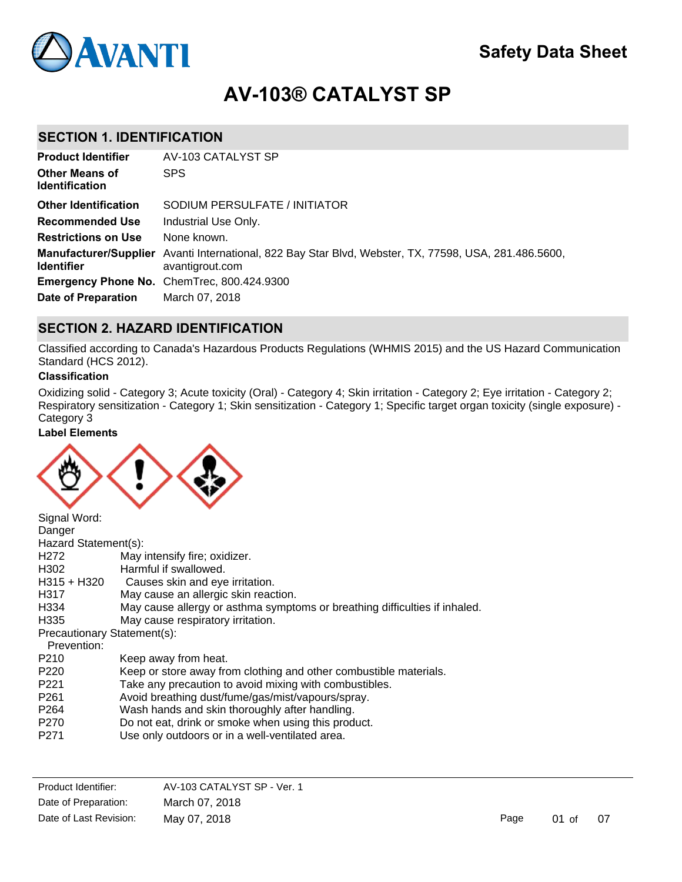

# **AV-103® CATALYST SP**

### **SECTION 1. IDENTIFICATION**

| <b>Product Identifier</b>                      | AV-103 CATALYST SP                                                                                                              |
|------------------------------------------------|---------------------------------------------------------------------------------------------------------------------------------|
| <b>Other Means of</b><br><b>Identification</b> | <b>SPS</b>                                                                                                                      |
| <b>Other Identification</b>                    | SODIUM PERSULFATE / INITIATOR                                                                                                   |
| <b>Recommended Use</b>                         | Industrial Use Only.                                                                                                            |
| <b>Restrictions on Use</b>                     | None known.                                                                                                                     |
| <b>Identifier</b>                              | <b>Manufacturer/Supplier</b> Avanti International, 822 Bay Star Blvd, Webster, TX, 77598, USA, 281.486.5600,<br>avantigrout.com |
|                                                | Emergency Phone No. ChemTrec, 800.424.9300                                                                                      |
| <b>Date of Preparation</b>                     | March 07, 2018                                                                                                                  |

### **SECTION 2. HAZARD IDENTIFICATION**

Classified according to Canada's Hazardous Products Regulations (WHMIS 2015) and the US Hazard Communication Standard (HCS 2012).

#### **Classification**

Oxidizing solid - Category 3; Acute toxicity (Oral) - Category 4; Skin irritation - Category 2; Eye irritation - Category 2; Respiratory sensitization - Category 1; Skin sensitization - Category 1; Specific target organ toxicity (single exposure) - Category 3

P284 In case of inadequate ventilation wear respiratory protection (NIOSH approved air-purifying respirator

#### **Label Elements**



| Signal Word:                |                                                                            |
|-----------------------------|----------------------------------------------------------------------------|
| Danger                      |                                                                            |
| Hazard Statement(s):        |                                                                            |
| H <sub>272</sub>            | May intensify fire; oxidizer.                                              |
| H302                        | Harmful if swallowed.                                                      |
| H315 + H320                 | Causes skin and eye irritation.                                            |
| H317                        | May cause an allergic skin reaction.                                       |
| H334                        | May cause allergy or asthma symptoms or breathing difficulties if inhaled. |
| H335                        | May cause respiratory irritation.                                          |
| Precautionary Statement(s): |                                                                            |
| Prevention:                 |                                                                            |
| P <sub>210</sub>            | Keep away from heat.                                                       |
| P <sub>220</sub>            | Keep or store away from clothing and other combustible materials.          |
| P <sub>221</sub>            | Take any precaution to avoid mixing with combustibles.                     |
| P <sub>261</sub>            | Avoid breathing dust/fume/gas/mist/vapours/spray.                          |
| P <sub>264</sub>            | Wash hands and skin thoroughly after handling.                             |
| P <sub>270</sub>            | Do not eat, drink or smoke when using this product.                        |
| P <sub>271</sub>            | Use only outdoors or in a well-ventilated area.                            |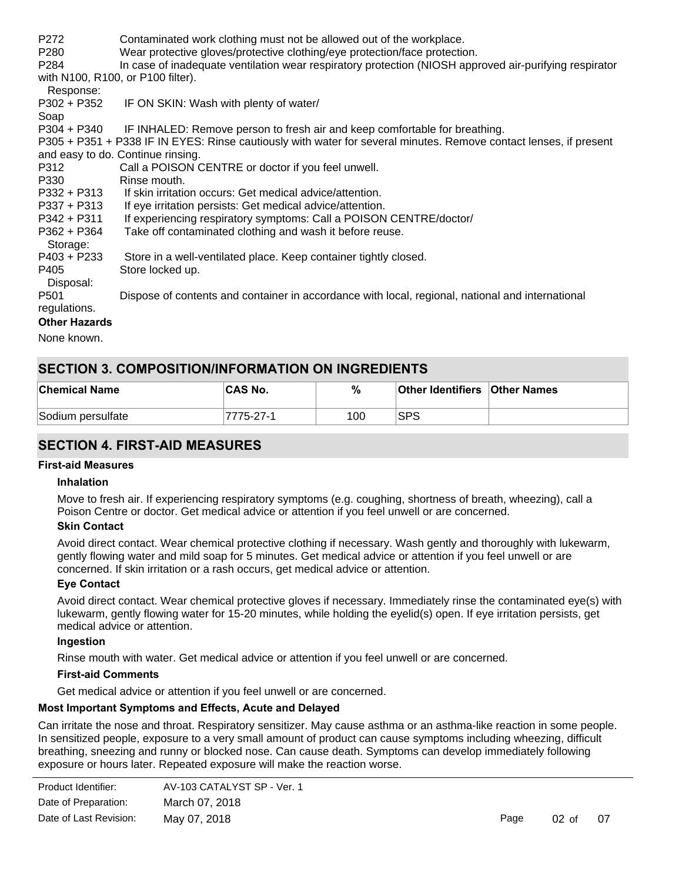| P <sub>272</sub><br>P280<br>P <sub>284</sub> | Contaminated work clothing must not be allowed out of the workplace.<br>Wear protective gloves/protective clothing/eye protection/face protection.<br>In case of inadequate ventilation wear respiratory protection (NIOSH approved air-purifying respirator |
|----------------------------------------------|--------------------------------------------------------------------------------------------------------------------------------------------------------------------------------------------------------------------------------------------------------------|
| Response:                                    | with N100, R100, or P100 filter).                                                                                                                                                                                                                            |
| $P302 + P352$                                | IF ON SKIN: Wash with plenty of water/                                                                                                                                                                                                                       |
| Soap<br>P304 + P340                          | IF INHALED: Remove person to fresh air and keep comfortable for breathing.                                                                                                                                                                                   |
|                                              | P305 + P351 + P338 IF IN EYES: Rinse cautiously with water for several minutes. Remove contact lenses, if present                                                                                                                                            |
|                                              | and easy to do. Continue rinsing.                                                                                                                                                                                                                            |
| P312                                         | Call a POISON CENTRE or doctor if you feel unwell.                                                                                                                                                                                                           |
| P330                                         | Rinse mouth.                                                                                                                                                                                                                                                 |
|                                              | P332 + P313 If skin irritation occurs: Get medical advice/attention.                                                                                                                                                                                         |
| P337 + P313                                  | If eye irritation persists: Get medical advice/attention.                                                                                                                                                                                                    |
| P342 + P311                                  | If experiencing respiratory symptoms: Call a POISON CENTRE/doctor/                                                                                                                                                                                           |
| $P362 + P364$                                | Take off contaminated clothing and wash it before reuse.                                                                                                                                                                                                     |
| Storage:                                     |                                                                                                                                                                                                                                                              |
| $P403 + P233$                                | Store in a well-ventilated place. Keep container tightly closed.                                                                                                                                                                                             |
| P405                                         | Store locked up.                                                                                                                                                                                                                                             |
| Disposal:                                    |                                                                                                                                                                                                                                                              |
| P <sub>501</sub>                             | Dispose of contents and container in accordance with local, regional, national and international                                                                                                                                                             |
| regulations.                                 |                                                                                                                                                                                                                                                              |
| <b>Other Hazards</b>                         |                                                                                                                                                                                                                                                              |

None known.

### **SECTION 3. COMPOSITION/INFORMATION ON INGREDIENTS**

| <b>Chemical Name</b> | CAS No.   | %   | <b>Other Identifiers Other Names</b> |  |
|----------------------|-----------|-----|--------------------------------------|--|
| Sodium persulfate    | 7775-27-1 | 100 | SPS                                  |  |

### **SECTION 4. FIRST-AID MEASURES**

#### **First-aid Measures**

#### **Inhalation**

Move to fresh air. If experiencing respiratory symptoms (e.g. coughing, shortness of breath, wheezing), call a Poison Centre or doctor. Get medical advice or attention if you feel unwell or are concerned.

#### **Skin Contact**

Avoid direct contact. Wear chemical protective clothing if necessary. Wash gently and thoroughly with lukewarm, gently flowing water and mild soap for 5 minutes. Get medical advice or attention if you feel unwell or are concerned. If skin irritation or a rash occurs, get medical advice or attention.

#### **Eye Contact**

Avoid direct contact. Wear chemical protective gloves if necessary. Immediately rinse the contaminated eye(s) with lukewarm, gently flowing water for 15-20 minutes, while holding the eyelid(s) open. If eye irritation persists, get medical advice or attention.

#### **Ingestion**

Rinse mouth with water. Get medical advice or attention if you feel unwell or are concerned.

#### **First-aid Comments**

Get medical advice or attention if you feel unwell or are concerned.

#### **Most Important Symptoms and Effects, Acute and Delayed**

Can irritate the nose and throat. Respiratory sensitizer. May cause asthma or an asthma-like reaction in some people. In sensitized people, exposure to a very small amount of product can cause symptoms including wheezing, difficult breathing, sneezing and runny or blocked nose. Can cause death. Symptoms can develop immediately following exposure or hours later. Repeated exposure will make the reaction worse.

| Product Identifier:    | AV-103 CATALYST SP - Ver. 1 |
|------------------------|-----------------------------|
| Date of Preparation:   | March 07, 2018              |
| Date of Last Revision: | May 07, 2018                |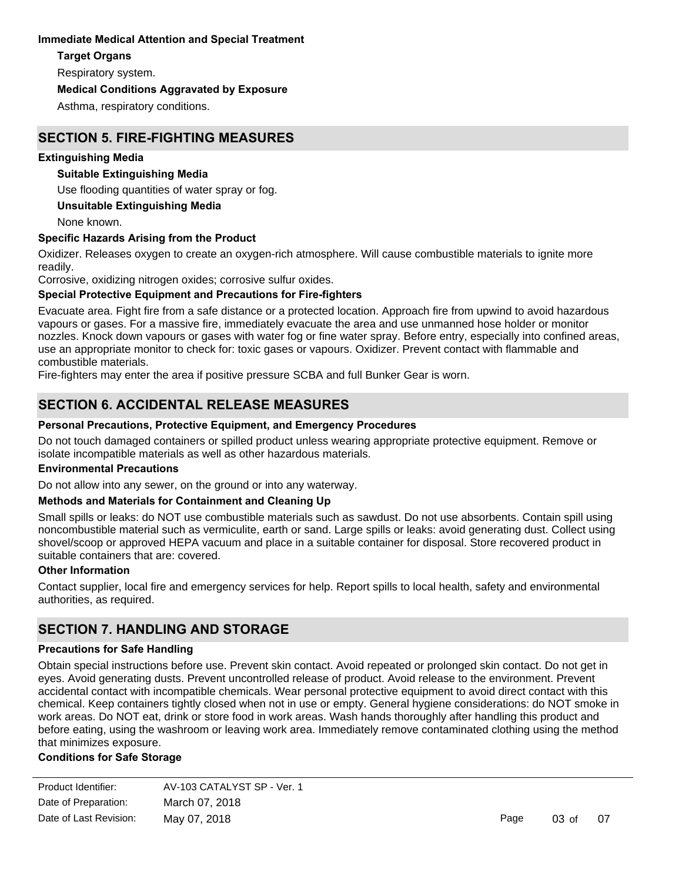#### **Immediate Medical Attention and Special Treatment**

#### **Target Organs**

Respiratory system.

#### **Medical Conditions Aggravated by Exposure**

Asthma, respiratory conditions.

### **SECTION 5. FIRE-FIGHTING MEASURES**

#### **Extinguishing Media**

#### **Suitable Extinguishing Media**

Use flooding quantities of water spray or fog.

#### **Unsuitable Extinguishing Media**

None known.

#### **Specific Hazards Arising from the Product**

Oxidizer. Releases oxygen to create an oxygen-rich atmosphere. Will cause combustible materials to ignite more readily.

Corrosive, oxidizing nitrogen oxides; corrosive sulfur oxides.

#### **Special Protective Equipment and Precautions for Fire-fighters**

Evacuate area. Fight fire from a safe distance or a protected location. Approach fire from upwind to avoid hazardous vapours or gases. For a massive fire, immediately evacuate the area and use unmanned hose holder or monitor nozzles. Knock down vapours or gases with water fog or fine water spray. Before entry, especially into confined areas, use an appropriate monitor to check for: toxic gases or vapours. Oxidizer. Prevent contact with flammable and combustible materials.

Fire-fighters may enter the area if positive pressure SCBA and full Bunker Gear is worn.

## **SECTION 6. ACCIDENTAL RELEASE MEASURES**

#### **Personal Precautions, Protective Equipment, and Emergency Procedures**

Do not touch damaged containers or spilled product unless wearing appropriate protective equipment. Remove or isolate incompatible materials as well as other hazardous materials.

#### **Environmental Precautions**

Do not allow into any sewer, on the ground or into any waterway.

#### **Methods and Materials for Containment and Cleaning Up**

Small spills or leaks: do NOT use combustible materials such as sawdust. Do not use absorbents. Contain spill using noncombustible material such as vermiculite, earth or sand. Large spills or leaks: avoid generating dust. Collect using shovel/scoop or approved HEPA vacuum and place in a suitable container for disposal. Store recovered product in suitable containers that are: covered.

#### **Other Information**

Contact supplier, local fire and emergency services for help. Report spills to local health, safety and environmental authorities, as required.

### **SECTION 7. HANDLING AND STORAGE**

#### **Precautions for Safe Handling**

Obtain special instructions before use. Prevent skin contact. Avoid repeated or prolonged skin contact. Do not get in eyes. Avoid generating dusts. Prevent uncontrolled release of product. Avoid release to the environment. Prevent accidental contact with incompatible chemicals. Wear personal protective equipment to avoid direct contact with this chemical. Keep containers tightly closed when not in use or empty. General hygiene considerations: do NOT smoke in work areas. Do NOT eat, drink or store food in work areas. Wash hands thoroughly after handling this product and before eating, using the washroom or leaving work area. Immediately remove contaminated clothing using the method that minimizes exposure.

#### **Conditions for Safe Storage**

| Product Identifier:    | AV-103 CATALYST SP - Ver. 1 |      |          |    |
|------------------------|-----------------------------|------|----------|----|
| Date of Preparation:   | March 07, 2018              |      |          |    |
| Date of Last Revision: | May 07, 2018                | Page | $03o$ of | 07 |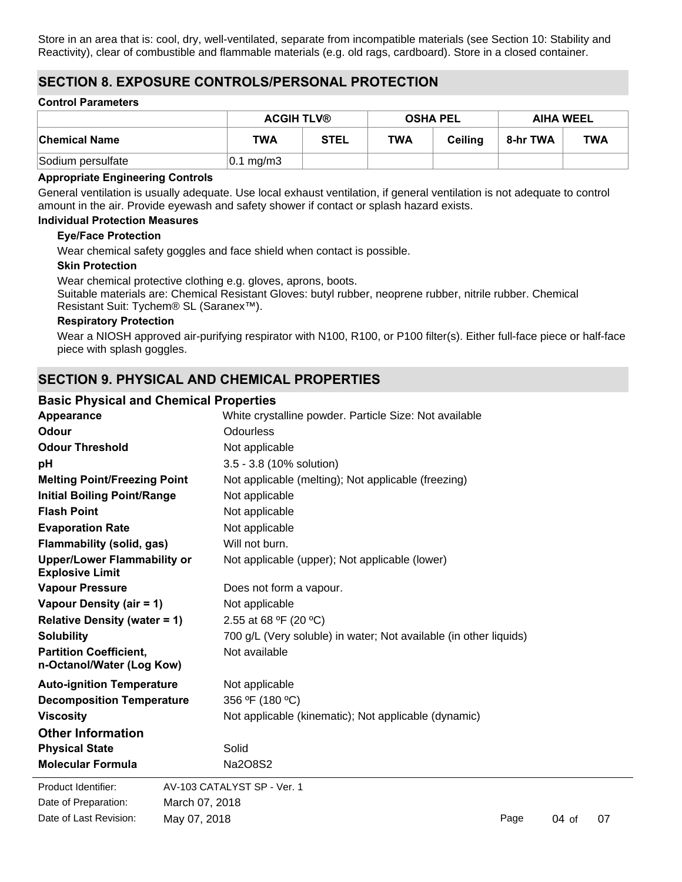Store in an area that is: cool, dry, well-ventilated, separate from incompatible materials (see Section 10: Stability and Reactivity), clear of combustible and flammable materials (e.g. old rags, cardboard). Store in a closed container.

### **SECTION 8. EXPOSURE CONTROLS/PERSONAL PROTECTION**

#### **Control Parameters**

|                   | <b>ACGIH TLV®</b>     |             | <b>OSHA PEL</b> |                | <b>AIHA WEEL</b> |            |
|-------------------|-----------------------|-------------|-----------------|----------------|------------------|------------|
| ∣Chemical Name    | TWA                   | <b>STEL</b> | TWA             | <b>Ceiling</b> | 8-hr TWA         | <b>TWA</b> |
| Sodium persulfate | $ 0.1 \text{ mg/m3} $ |             |                 |                |                  |            |

#### **Appropriate Engineering Controls**

General ventilation is usually adequate. Use local exhaust ventilation, if general ventilation is not adequate to control amount in the air. Provide eyewash and safety shower if contact or splash hazard exists.

#### **Individual Protection Measures**

#### **Eye/Face Protection**

Wear chemical safety goggles and face shield when contact is possible.

#### **Skin Protection**

Wear chemical protective clothing e.g. gloves, aprons, boots. Suitable materials are: Chemical Resistant Gloves: butyl rubber, neoprene rubber, nitrile rubber. Chemical Resistant Suit: Tychem® SL (Saranex™).

#### **Respiratory Protection**

Wear a NIOSH approved air-purifying respirator with N100, R100, or P100 filter(s). Either full-face piece or half-face piece with splash goggles.

### **SECTION 9. PHYSICAL AND CHEMICAL PROPERTIES**

#### **Basic Physical and Chemical Properties**

| Appearance                                                   | White crystalline powder. Particle Size: Not available            |  |  |
|--------------------------------------------------------------|-------------------------------------------------------------------|--|--|
| Odour                                                        | Odourless                                                         |  |  |
| <b>Odour Threshold</b>                                       | Not applicable                                                    |  |  |
| рH                                                           | 3.5 - 3.8 (10% solution)                                          |  |  |
| <b>Melting Point/Freezing Point</b>                          | Not applicable (melting); Not applicable (freezing)               |  |  |
| <b>Initial Boiling Point/Range</b>                           | Not applicable                                                    |  |  |
| <b>Flash Point</b>                                           | Not applicable                                                    |  |  |
| <b>Evaporation Rate</b>                                      | Not applicable                                                    |  |  |
| Flammability (solid, gas)                                    | Will not burn.                                                    |  |  |
| <b>Upper/Lower Flammability or</b><br><b>Explosive Limit</b> | Not applicable (upper); Not applicable (lower)                    |  |  |
| <b>Vapour Pressure</b>                                       | Does not form a vapour.                                           |  |  |
| Vapour Density (air = 1)                                     | Not applicable                                                    |  |  |
| <b>Relative Density (water = 1)</b>                          | 2.55 at 68 °F (20 °C)                                             |  |  |
| <b>Solubility</b>                                            | 700 g/L (Very soluble) in water; Not available (in other liquids) |  |  |
| <b>Partition Coefficient,</b><br>n-Octanol/Water (Log Kow)   | Not available                                                     |  |  |
| <b>Auto-ignition Temperature</b>                             | Not applicable                                                    |  |  |
| <b>Decomposition Temperature</b>                             | 356 °F (180 °C)                                                   |  |  |
| <b>Viscosity</b>                                             | Not applicable (kinematic); Not applicable (dynamic)              |  |  |
| <b>Other Information</b>                                     |                                                                   |  |  |
| <b>Physical State</b>                                        | Solid                                                             |  |  |
| <b>Molecular Formula</b>                                     | Na2O8S2                                                           |  |  |
| Product Identifier:                                          | AV-103 CATALYST SP - Ver. 1                                       |  |  |
| Date of Preparation:                                         | March 07, 2018                                                    |  |  |

Date of Last Revision: May 07, 2018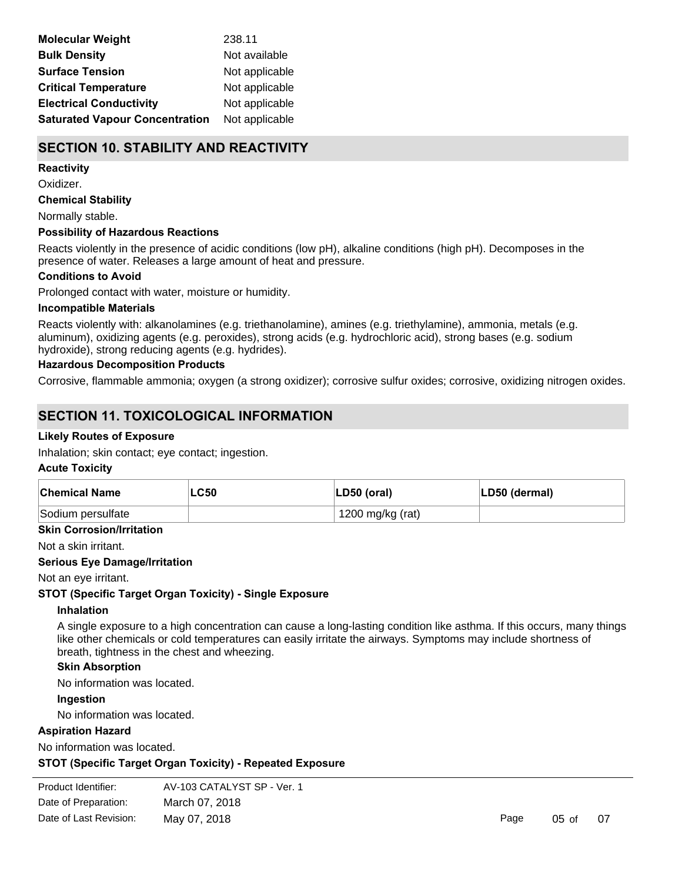| <b>Molecular Weight</b>               | 238.11         |
|---------------------------------------|----------------|
| <b>Bulk Density</b>                   | Not available  |
| <b>Surface Tension</b>                | Not applicable |
| <b>Critical Temperature</b>           | Not applicable |
| <b>Electrical Conductivity</b>        | Not applicable |
| <b>Saturated Vapour Concentration</b> | Not applicable |

## **SECTION 10. STABILITY AND REACTIVITY**

#### **Reactivity**

Oxidizer.

**Chemical Stability**

Normally stable.

#### **Possibility of Hazardous Reactions**

Reacts violently in the presence of acidic conditions (low pH), alkaline conditions (high pH). Decomposes in the presence of water. Releases a large amount of heat and pressure.

#### **Conditions to Avoid**

Prolonged contact with water, moisture or humidity.

#### **Incompatible Materials**

Reacts violently with: alkanolamines (e.g. triethanolamine), amines (e.g. triethylamine), ammonia, metals (e.g. aluminum), oxidizing agents (e.g. peroxides), strong acids (e.g. hydrochloric acid), strong bases (e.g. sodium hydroxide), strong reducing agents (e.g. hydrides).

#### **Hazardous Decomposition Products**

Corrosive, flammable ammonia; oxygen (a strong oxidizer); corrosive sulfur oxides; corrosive, oxidizing nitrogen oxides.

### **SECTION 11. TOXICOLOGICAL INFORMATION**

#### **Likely Routes of Exposure**

Inhalation; skin contact; eye contact; ingestion.

#### **Acute Toxicity**

| <b>Chemical Name</b> | LC50 | $ LD50$ (oral)   | LD50 (dermal) |
|----------------------|------|------------------|---------------|
| Sodium persulfate    |      | 1200 mg/kg (rat) |               |

**Skin Corrosion/Irritation**

Not a skin irritant.

#### **Serious Eye Damage/Irritation**

Not an eye irritant.

#### **STOT (Specific Target Organ Toxicity) - Single Exposure**

#### **Inhalation**

A single exposure to a high concentration can cause a long-lasting condition like asthma. If this occurs, many things like other chemicals or cold temperatures can easily irritate the airways. Symptoms may include shortness of breath, tightness in the chest and wheezing.

#### **Skin Absorption**

No information was located.

#### **Ingestion**

No information was located.

#### **Aspiration Hazard**

No information was located.

**STOT (Specific Target Organ Toxicity) - Repeated Exposure**

```
Product Identifier: AV-103 CATALYST SP - Ver. 1
Date of Preparation:
                   March 07, 2018
Date of Last Revision: May 07, 2018
```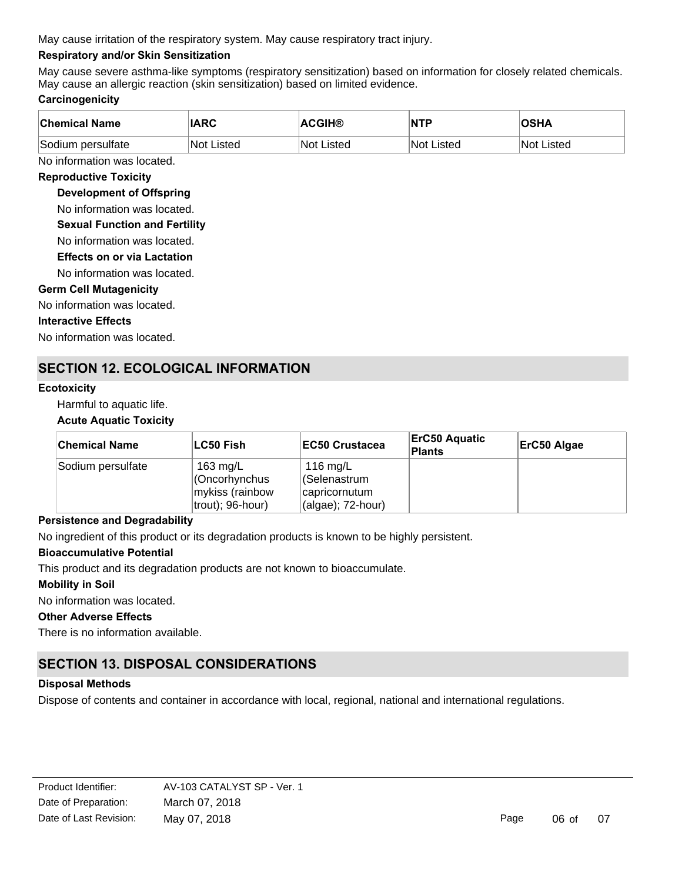May cause irritation of the respiratory system. May cause respiratory tract injury.

### **Respiratory and/or Skin Sensitization**

May cause severe asthma-like symptoms (respiratory sensitization) based on information for closely related chemicals. May cause an allergic reaction (skin sensitization) based on limited evidence.

### **Carcinogenicity**

| <b>Chemical Name</b> | <b>IARC</b> | <b>ACGIH®</b>     | <b>NTP</b>        | <b>OSHA</b>       |
|----------------------|-------------|-------------------|-------------------|-------------------|
| Sodium persulfate    | ∣Not Listed | <b>Not Listed</b> | <b>Not Listed</b> | <b>Not Listed</b> |

No information was located.

#### **Reproductive Toxicity**

#### **Development of Offspring**

No information was located.

**Sexual Function and Fertility**

No information was located.

**Effects on or via Lactation**

No information was located.

#### **Germ Cell Mutagenicity**

No information was located.

#### **Interactive Effects**

No information was located.

### **SECTION 12. ECOLOGICAL INFORMATION**

#### **Ecotoxicity**

Harmful to aquatic life.

#### **Acute Aquatic Toxicity**

| <b>Chemical Name</b> | ∣LC50 Fish                                                          | <b>IEC50 Crustacea</b>                                          | <b>ErC50 Aquatic</b><br>Plants | ErC50 Algae |
|----------------------|---------------------------------------------------------------------|-----------------------------------------------------------------|--------------------------------|-------------|
| Sodium persulfate    | 163 $mg/L$<br>Oncorhynchus) <br>mykiss (rainbow<br>trout); 96-hour) | 116 mg/L<br> (Selenastrum<br>capricornutum<br>(algae); 72-hour) |                                |             |

#### **Persistence and Degradability**

No ingredient of this product or its degradation products is known to be highly persistent.

#### **Bioaccumulative Potential**

This product and its degradation products are not known to bioaccumulate.

#### **Mobility in Soil**

No information was located.

#### **Other Adverse Effects**

There is no information available.

## **SECTION 13. DISPOSAL CONSIDERATIONS**

#### **Disposal Methods**

Dispose of contents and container in accordance with local, regional, national and international regulations.